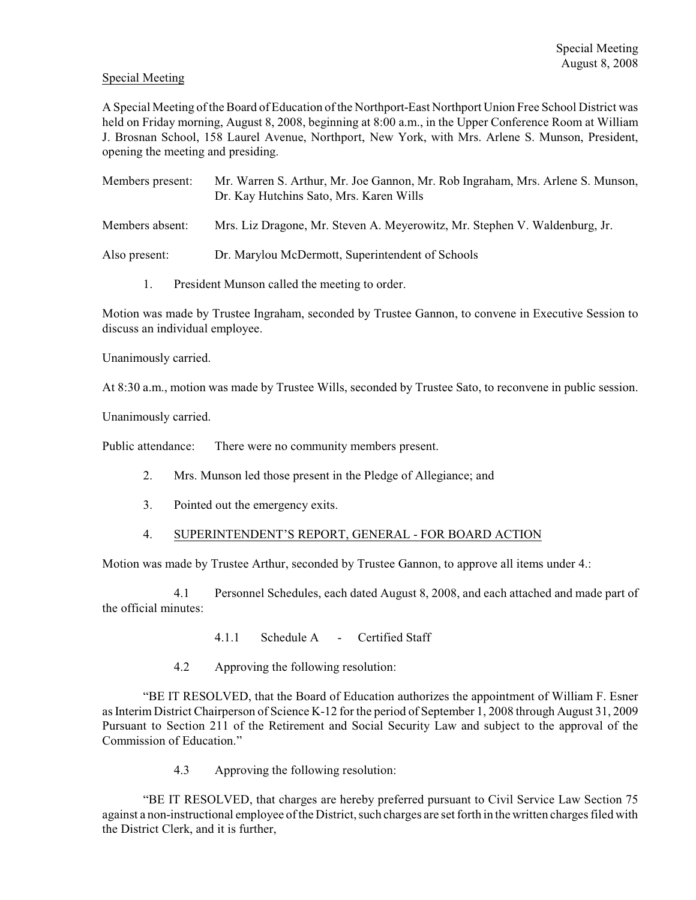## Special Meeting

A Special Meeting of the Board of Education of the Northport-East Northport Union Free School District was held on Friday morning, August 8, 2008, beginning at 8:00 a.m., in the Upper Conference Room at William J. Brosnan School, 158 Laurel Avenue, Northport, New York, with Mrs. Arlene S. Munson, President, opening the meeting and presiding.

| Members present: | Mr. Warren S. Arthur, Mr. Joe Gannon, Mr. Rob Ingraham, Mrs. Arlene S. Munson,<br>Dr. Kay Hutchins Sato, Mrs. Karen Wills |
|------------------|---------------------------------------------------------------------------------------------------------------------------|
| Members absent:  | Mrs. Liz Dragone, Mr. Steven A. Meyerowitz, Mr. Stephen V. Waldenburg, Jr.                                                |
|                  | $\mathbf{1} \mathbf{1} \mathbf{1}$                                                                                        |

Also present: Dr. Marylou McDermott, Superintendent of Schools

1. President Munson called the meeting to order.

Motion was made by Trustee Ingraham, seconded by Trustee Gannon, to convene in Executive Session to discuss an individual employee.

Unanimously carried.

At 8:30 a.m., motion was made by Trustee Wills, seconded by Trustee Sato, to reconvene in public session.

Unanimously carried.

Public attendance: There were no community members present.

- 2. Mrs. Munson led those present in the Pledge of Allegiance; and
- 3. Pointed out the emergency exits.
- 4. SUPERINTENDENT'S REPORT, GENERAL FOR BOARD ACTION

Motion was made by Trustee Arthur, seconded by Trustee Gannon, to approve all items under 4.:

4.1 Personnel Schedules, each dated August 8, 2008, and each attached and made part of the official minutes:

- 4.1.1 Schedule A Certified Staff
- 4.2 Approving the following resolution:

"BE IT RESOLVED, that the Board of Education authorizes the appointment of William F. Esner as Interim District Chairperson of Science K-12 for the period of September 1, 2008 through August 31, 2009 Pursuant to Section 211 of the Retirement and Social Security Law and subject to the approval of the Commission of Education."

4.3 Approving the following resolution:

"BE IT RESOLVED, that charges are hereby preferred pursuant to Civil Service Law Section 75 against a non-instructional employee of the District, such charges are set forth in the written charges filed with the District Clerk, and it is further,